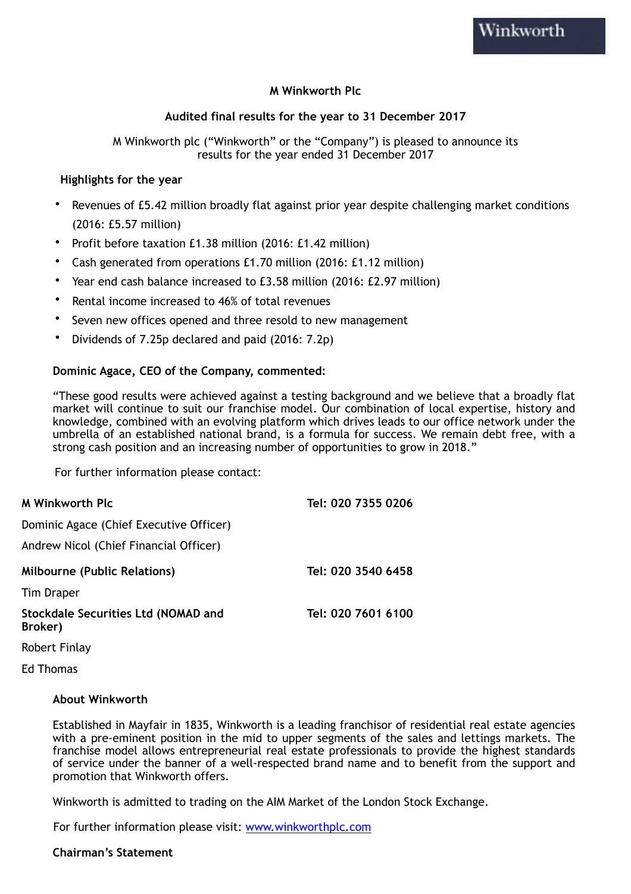## **M Winkworth Plc**

## **Audited final results for the year to 31 December 2017**

M Winkworth plc ("Winkworth" or the "Company") is pleased to announce its results for the year ended 31 December 2017

#### **Highlights for the year**

- Revenues of £5.42 million broadly flat against prior year despite challenging market conditions (2016: £5.57 million)
- Profit before taxation £1.38 million (2016: £1.42 million)
- Cash generated from operations £1.70 million (2016: £1.12 million)
- Year end cash balance increased to £3.58 million (2016: £2.97 million)
- Rental income increased to 46% of total revenues
- Seven new offices opened and three resold to new management
- Dividends of 7.25p declared and paid (2016: 7.2p)

### **Dominic Agace, CEO of the Company, commented:**

"These good results were achieved against a testing background and we believe that a broadly flat market will continue to suit our franchise model. Our combination of local expertise, history and knowledge, combined with an evolving platform which drives leads to our office network under the umbrella of an established national brand, is a formula for success. We remain debt free, with a strong cash position and an increasing number of opportunities to grow in 2018."

For further information please contact:

| <b>M Winkworth Plc</b>                                | Tel: 020 7355 0206 |
|-------------------------------------------------------|--------------------|
| Dominic Agace (Chief Executive Officer)               |                    |
| Andrew Nicol (Chief Financial Officer)                |                    |
| <b>Milbourne (Public Relations)</b>                   | Tel: 020 3540 6458 |
| <b>Tim Draper</b>                                     |                    |
| <b>Stockdale Securities Ltd (NOMAD and</b><br>Broker) | Tel: 020 7601 6100 |

Robert Finlay

Ed Thomas

#### **About Winkworth**

Established in Mayfair in 1835, Winkworth is a leading franchisor of residential real estate agencies with a pre-eminent position in the mid to upper segments of the sales and lettings markets. The franchise model allows entrepreneurial real estate professionals to provide the highest standards of service under the banner of a well-respected brand name and to benefit from the support and promotion that Winkworth offers.

Winkworth is admitted to trading on the AIM Market of the London Stock Exchange.

For further information please visit: [www.winkworthplc.com](http://www.winkworthplc.com)

#### **Chairman's Statement**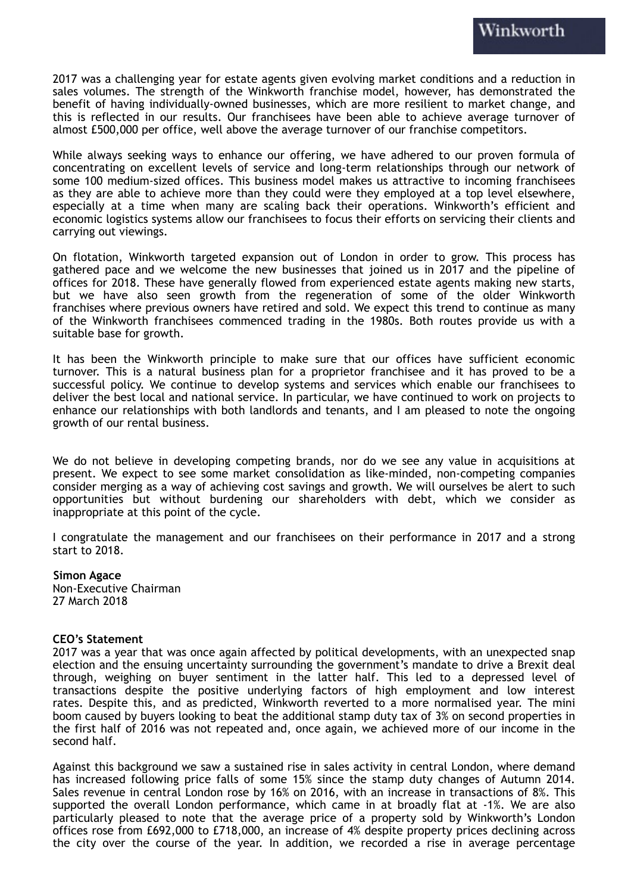2017 was a challenging year for estate agents given evolving market conditions and a reduction in sales volumes. The strength of the Winkworth franchise model, however, has demonstrated the benefit of having individually-owned businesses, which are more resilient to market change, and this is reflected in our results. Our franchisees have been able to achieve average turnover of almost £500,000 per office, well above the average turnover of our franchise competitors.

While always seeking ways to enhance our offering, we have adhered to our proven formula of concentrating on excellent levels of service and long-term relationships through our network of some 100 medium-sized offices. This business model makes us attractive to incoming franchisees as they are able to achieve more than they could were they employed at a top level elsewhere, especially at a time when many are scaling back their operations. Winkworth's efficient and economic logistics systems allow our franchisees to focus their efforts on servicing their clients and carrying out viewings.

On flotation, Winkworth targeted expansion out of London in order to grow. This process has gathered pace and we welcome the new businesses that joined us in 2017 and the pipeline of offices for 2018. These have generally flowed from experienced estate agents making new starts, but we have also seen growth from the regeneration of some of the older Winkworth franchises where previous owners have retired and sold. We expect this trend to continue as many of the Winkworth franchisees commenced trading in the 1980s. Both routes provide us with a suitable base for growth.

It has been the Winkworth principle to make sure that our offices have sufficient economic turnover. This is a natural business plan for a proprietor franchisee and it has proved to be a successful policy. We continue to develop systems and services which enable our franchisees to deliver the best local and national service. In particular, we have continued to work on projects to enhance our relationships with both landlords and tenants, and I am pleased to note the ongoing growth of our rental business.

We do not believe in developing competing brands, nor do we see any value in acquisitions at present. We expect to see some market consolidation as like-minded, non-competing companies consider merging as a way of achieving cost savings and growth. We will ourselves be alert to such opportunities but without burdening our shareholders with debt, which we consider as inappropriate at this point of the cycle.

I congratulate the management and our franchisees on their performance in 2017 and a strong start to 2018.

#### **Simon Agace**

Non-Executive Chairman 27 March 2018

#### **CEO's Statement**

2017 was a year that was once again affected by political developments, with an unexpected snap election and the ensuing uncertainty surrounding the government's mandate to drive a Brexit deal through, weighing on buyer sentiment in the latter half. This led to a depressed level of transactions despite the positive underlying factors of high employment and low interest rates. Despite this, and as predicted, Winkworth reverted to a more normalised year. The mini boom caused by buyers looking to beat the additional stamp duty tax of 3% on second properties in the first half of 2016 was not repeated and, once again, we achieved more of our income in the second half.

Against this background we saw a sustained rise in sales activity in central London, where demand has increased following price falls of some 15% since the stamp duty changes of Autumn 2014. Sales revenue in central London rose by 16% on 2016, with an increase in transactions of 8%. This supported the overall London performance, which came in at broadly flat at -1%. We are also particularly pleased to note that the average price of a property sold by Winkworth's London offices rose from £692,000 to £718,000, an increase of 4% despite property prices declining across the city over the course of the year. In addition, we recorded a rise in average percentage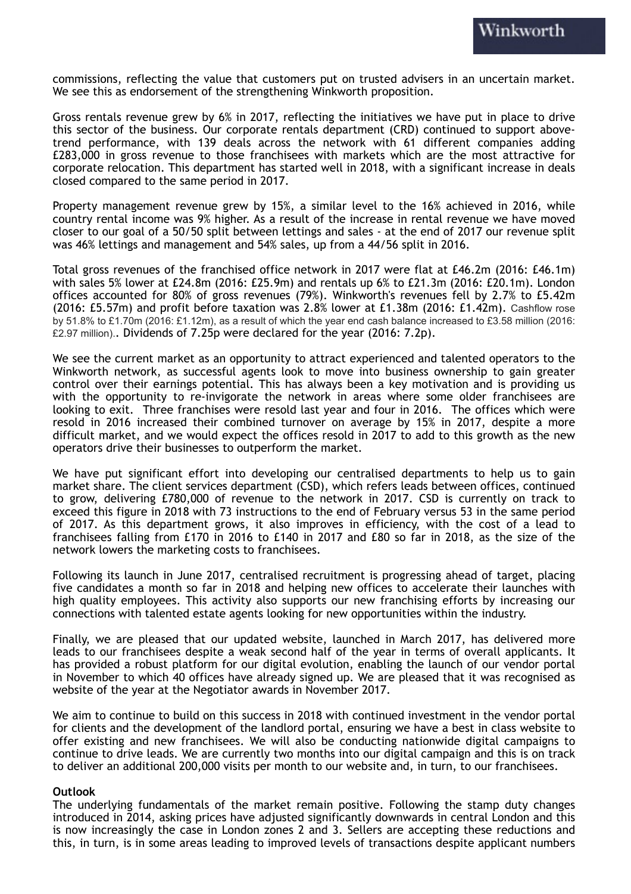commissions, reflecting the value that customers put on trusted advisers in an uncertain market. We see this as endorsement of the strengthening Winkworth proposition.

Gross rentals revenue grew by 6% in 2017, reflecting the initiatives we have put in place to drive this sector of the business. Our corporate rentals department (CRD) continued to support abovetrend performance, with 139 deals across the network with 61 different companies adding £283,000 in gross revenue to those franchisees with markets which are the most attractive for corporate relocation. This department has started well in 2018, with a significant increase in deals closed compared to the same period in 2017.

Property management revenue grew by 15%, a similar level to the 16% achieved in 2016, while country rental income was 9% higher. As a result of the increase in rental revenue we have moved closer to our goal of a 50/50 split between lettings and sales - at the end of 2017 our revenue split was 46% lettings and management and 54% sales, up from a 44/56 split in 2016.

Total gross revenues of the franchised office network in 2017 were flat at £46.2m (2016: £46.1m) with sales 5% lower at £24.8m (2016: £25.9m) and rentals up 6% to £21.3m (2016: £20.1m). London offices accounted for 80% of gross revenues (79%). Winkworth's revenues fell by 2.7% to £5.42m (2016: £5.57m) and profit before taxation was 2.8% lower at £1.38m (2016: £1.42m). Cashflow rose by 51.8% to £1.70m (2016: £1.12m), as a result of which the year end cash balance increased to £3.58 million (2016: £2.97 million).. Dividends of 7.25p were declared for the year (2016: 7.2p).

We see the current market as an opportunity to attract experienced and talented operators to the Winkworth network, as successful agents look to move into business ownership to gain greater control over their earnings potential. This has always been a key motivation and is providing us with the opportunity to re-invigorate the network in areas where some older franchisees are looking to exit. Three franchises were resold last year and four in 2016. The offices which were resold in 2016 increased their combined turnover on average by 15% in 2017, despite a more difficult market, and we would expect the offices resold in 2017 to add to this growth as the new operators drive their businesses to outperform the market.

We have put significant effort into developing our centralised departments to help us to gain market share. The client services department (CSD), which refers leads between offices, continued to grow, delivering £780,000 of revenue to the network in 2017. CSD is currently on track to exceed this figure in 2018 with 73 instructions to the end of February versus 53 in the same period of 2017. As this department grows, it also improves in efficiency, with the cost of a lead to franchisees falling from £170 in 2016 to £140 in 2017 and £80 so far in 2018, as the size of the network lowers the marketing costs to franchisees.

Following its launch in June 2017, centralised recruitment is progressing ahead of target, placing five candidates a month so far in 2018 and helping new offices to accelerate their launches with high quality employees. This activity also supports our new franchising efforts by increasing our connections with talented estate agents looking for new opportunities within the industry.

Finally, we are pleased that our updated website, launched in March 2017, has delivered more leads to our franchisees despite a weak second half of the year in terms of overall applicants. It has provided a robust platform for our digital evolution, enabling the launch of our vendor portal in November to which 40 offices have already signed up. We are pleased that it was recognised as website of the year at the Negotiator awards in November 2017.

We aim to continue to build on this success in 2018 with continued investment in the vendor portal for clients and the development of the landlord portal, ensuring we have a best in class website to offer existing and new franchisees. We will also be conducting nationwide digital campaigns to continue to drive leads. We are currently two months into our digital campaign and this is on track to deliver an additional 200,000 visits per month to our website and, in turn, to our franchisees.

#### **Outlook**

The underlying fundamentals of the market remain positive. Following the stamp duty changes introduced in 2014, asking prices have adjusted significantly downwards in central London and this is now increasingly the case in London zones 2 and 3. Sellers are accepting these reductions and this, in turn, is in some areas leading to improved levels of transactions despite applicant numbers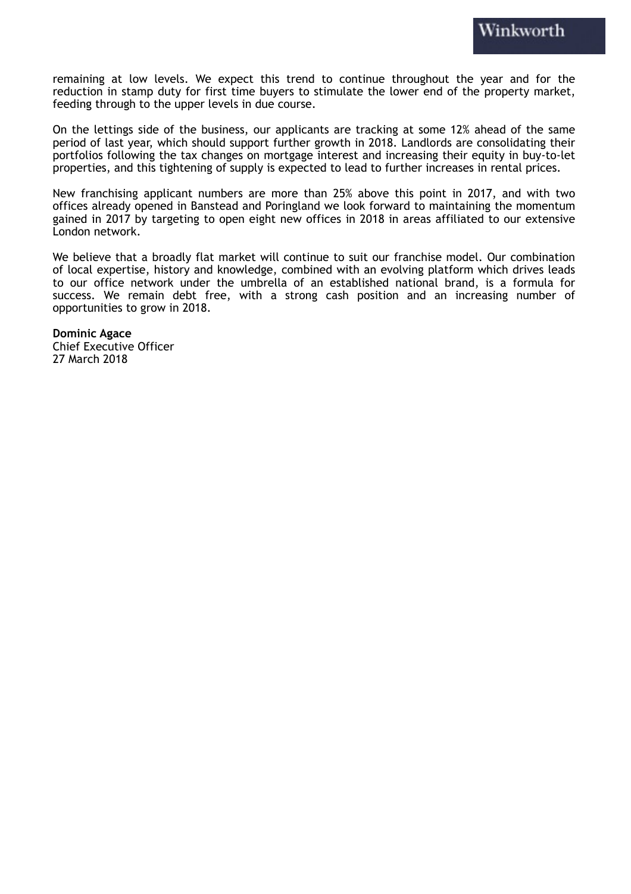remaining at low levels. We expect this trend to continue throughout the year and for the reduction in stamp duty for first time buyers to stimulate the lower end of the property market, feeding through to the upper levels in due course.

On the lettings side of the business, our applicants are tracking at some 12% ahead of the same period of last year, which should support further growth in 2018. Landlords are consolidating their portfolios following the tax changes on mortgage interest and increasing their equity in buy-to-let properties, and this tightening of supply is expected to lead to further increases in rental prices.

New franchising applicant numbers are more than 25% above this point in 2017, and with two offices already opened in Banstead and Poringland we look forward to maintaining the momentum gained in 2017 by targeting to open eight new offices in 2018 in areas affiliated to our extensive London network.

We believe that a broadly flat market will continue to suit our franchise model. Our combination of local expertise, history and knowledge, combined with an evolving platform which drives leads to our office network under the umbrella of an established national brand, is a formula for success. We remain debt free, with a strong cash position and an increasing number of opportunities to grow in 2018.

**Dominic Agace** Chief Executive Officer 27 March 2018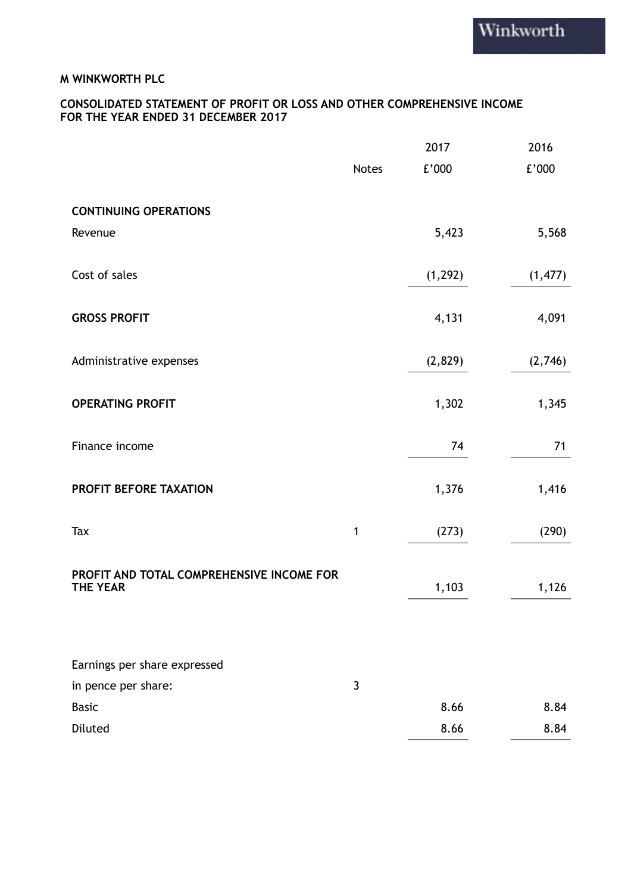## **CONSOLIDATED STATEMENT OF PROFIT OR LOSS AND OTHER COMPREHENSIVE INCOME FOR THE YEAR ENDED 31 DECEMBER 2017**

|                                                              |              | 2017     | 2016     |
|--------------------------------------------------------------|--------------|----------|----------|
|                                                              | <b>Notes</b> | £'000    | $E'000$  |
|                                                              |              |          |          |
| <b>CONTINUING OPERATIONS</b>                                 |              |          |          |
| Revenue                                                      |              | 5,423    | 5,568    |
| Cost of sales                                                |              | (1, 292) | (1, 477) |
|                                                              |              |          |          |
| <b>GROSS PROFIT</b>                                          |              | 4,131    | 4,091    |
| Administrative expenses                                      |              | (2,829)  | (2,746)  |
|                                                              |              |          |          |
| <b>OPERATING PROFIT</b>                                      |              | 1,302    | 1,345    |
|                                                              |              |          |          |
| Finance income                                               |              | 74       | 71       |
| PROFIT BEFORE TAXATION                                       |              | 1,376    | 1,416    |
|                                                              |              |          |          |
| Tax                                                          | 1            | (273)    | (290)    |
|                                                              |              |          |          |
| PROFIT AND TOTAL COMPREHENSIVE INCOME FOR<br><b>THE YEAR</b> |              | 1,103    | 1,126    |
|                                                              |              |          |          |
|                                                              |              |          |          |
| Earnings per share expressed                                 |              |          |          |
| in pence per share:                                          | $\mathbf{3}$ |          |          |
| <b>Basic</b>                                                 |              | 8.66     | 8.84     |
| Diluted                                                      |              | 8.66     | 8.84     |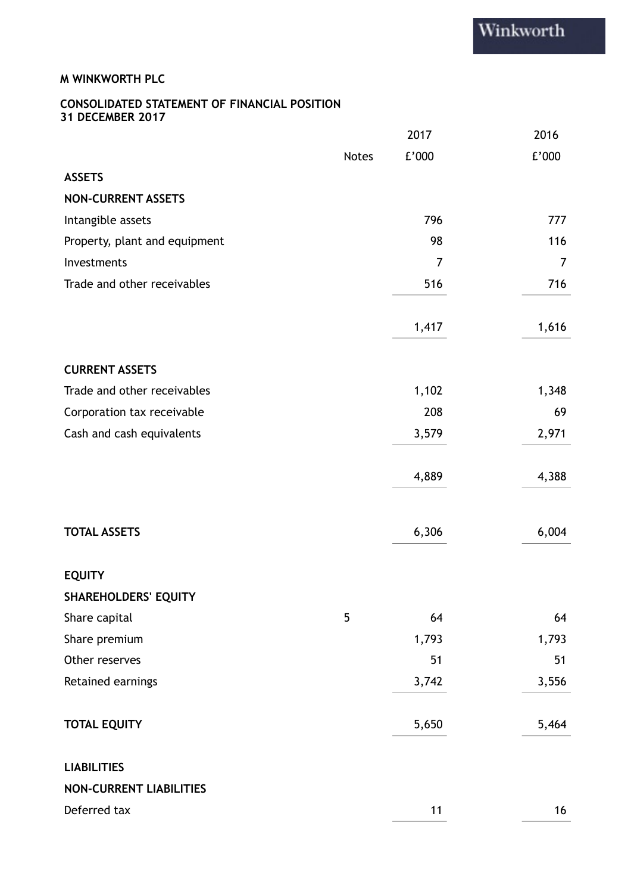## **CONSOLIDATED STATEMENT OF FINANCIAL POSITION 31 DECEMBER 2017**

|                                |              | 2017           | 2016           |
|--------------------------------|--------------|----------------|----------------|
|                                | <b>Notes</b> | E'000          | E'000          |
| <b>ASSETS</b>                  |              |                |                |
| <b>NON-CURRENT ASSETS</b>      |              |                |                |
| Intangible assets              |              | 796            | 777            |
| Property, plant and equipment  |              | 98             | 116            |
| Investments                    |              | $\overline{7}$ | $\overline{7}$ |
| Trade and other receivables    |              | 516            | 716            |
|                                |              | 1,417          | 1,616          |
| <b>CURRENT ASSETS</b>          |              |                |                |
| Trade and other receivables    |              | 1,102          | 1,348          |
| Corporation tax receivable     |              | 208            | 69             |
| Cash and cash equivalents      |              | 3,579          | 2,971          |
|                                |              | 4,889          | 4,388          |
| <b>TOTAL ASSETS</b>            |              | 6,306          | 6,004          |
| <b>EQUITY</b>                  |              |                |                |
| <b>SHAREHOLDERS' EQUITY</b>    |              |                |                |
| Share capital                  | 5            | 64             | 64             |
| Share premium                  |              | 1,793          | 1,793          |
| Other reserves                 |              | 51             | 51             |
| Retained earnings              |              | 3,742          | 3,556          |
| <b>TOTAL EQUITY</b>            |              | 5,650          | 5,464          |
| <b>LIABILITIES</b>             |              |                |                |
| <b>NON-CURRENT LIABILITIES</b> |              |                |                |
| Deferred tax                   |              | 11             | 16             |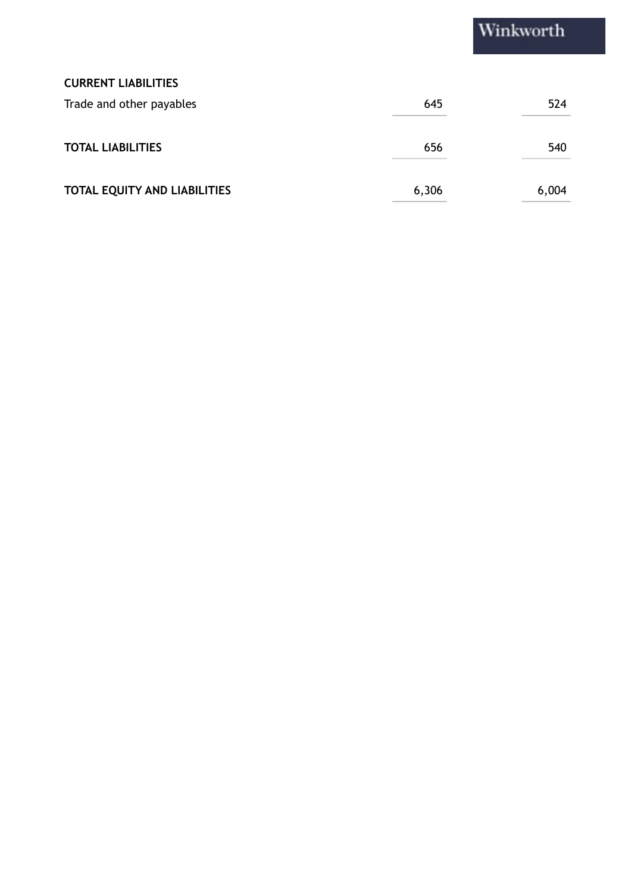# Winkworth

## **CURRENT LIABILITIES**

| Trade and other payables            | 645   | 524   |
|-------------------------------------|-------|-------|
| <b>TOTAL LIABILITIES</b>            | 656   | 540   |
| <b>TOTAL EQUITY AND LIABILITIES</b> | 6,306 | 6,004 |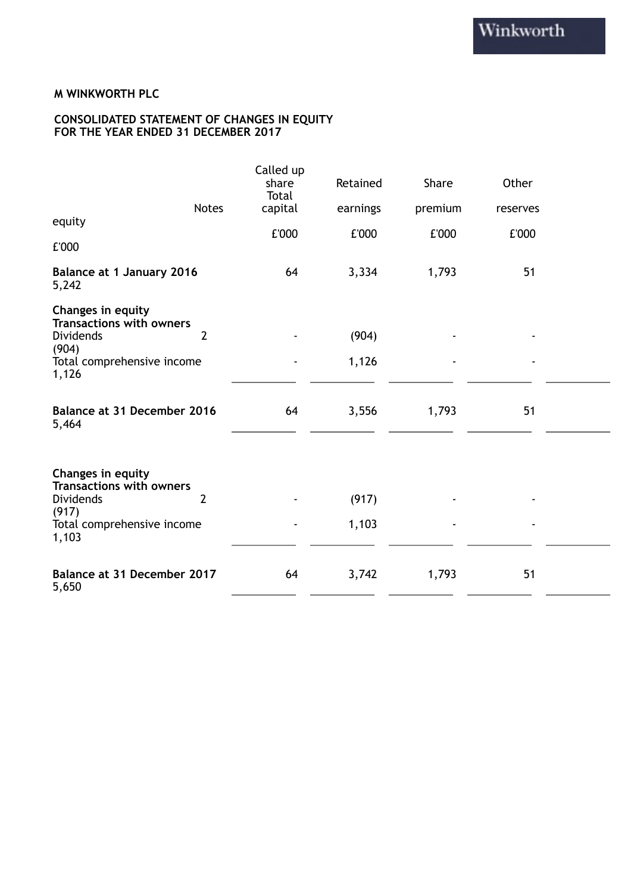#### **CONSOLIDATED STATEMENT OF CHANGES IN EQUITY FOR THE YEAR ENDED 31 DECEMBER 2017**

|                                                                          |                | Called up<br>share<br>Total  | Retained | Share   | Other    |  |
|--------------------------------------------------------------------------|----------------|------------------------------|----------|---------|----------|--|
| equity                                                                   | <b>Notes</b>   | capital                      | earnings | premium | reserves |  |
|                                                                          |                | £'000                        | £'000    | £'000   | £'000    |  |
| £'000                                                                    |                |                              |          |         |          |  |
| <b>Balance at 1 January 2016</b><br>5,242                                |                | 64                           | 3,334    | 1,793   | 51       |  |
| Changes in equity<br><b>Transactions with owners</b><br><b>Dividends</b> | $\overline{2}$ |                              | (904)    |         |          |  |
| (904)<br>Total comprehensive income<br>1,126                             |                | $\qquad \qquad \blacksquare$ | 1,126    | ٠       |          |  |
| <b>Balance at 31 December 2016</b><br>5,464                              |                | 64                           | 3,556    | 1,793   | 51       |  |
| Changes in equity<br><b>Transactions with owners</b><br><b>Dividends</b> | $\overline{2}$ |                              | (917)    |         |          |  |
| (917)<br>Total comprehensive income<br>1,103                             |                |                              | 1,103    |         |          |  |
| Balance at 31 December 2017<br>5,650                                     |                | 64                           | 3,742    | 1,793   | 51       |  |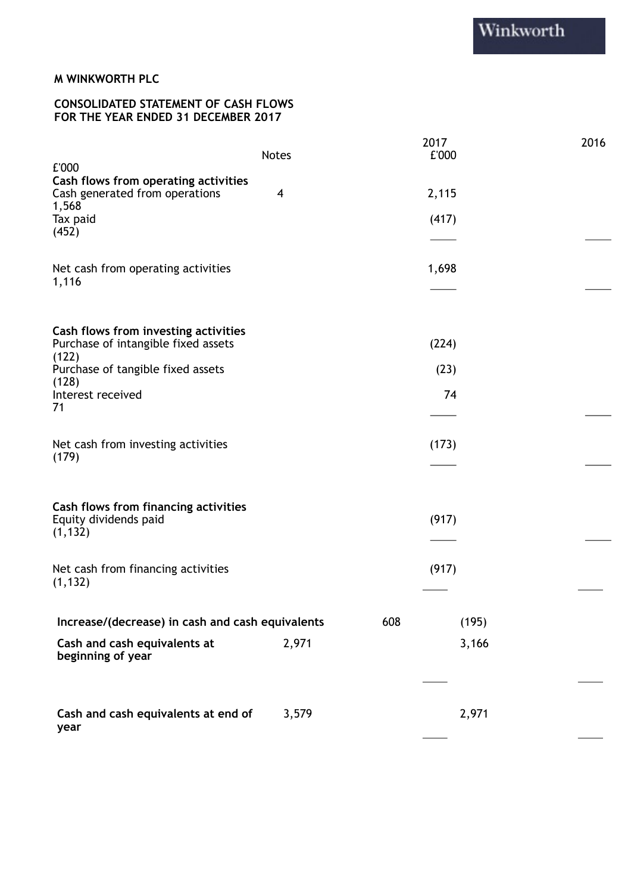## **CONSOLIDATED STATEMENT OF CASH FLOWS FOR THE YEAR ENDED 31 DECEMBER 2017**

|                                                   | <b>Notes</b> |     | 2017<br>£'000 | 2016 |
|---------------------------------------------------|--------------|-----|---------------|------|
| £'000<br>Cash flows from operating activities     |              |     |               |      |
| Cash generated from operations                    | 4            |     | 2,115         |      |
| 1,568<br>Tax paid<br>(452)                        |              |     | (417)         |      |
|                                                   |              |     |               |      |
| Net cash from operating activities<br>1,116       |              |     | 1,698         |      |
|                                                   |              |     |               |      |
| Cash flows from investing activities              |              |     |               |      |
| Purchase of intangible fixed assets<br>(122)      |              |     | (224)         |      |
| Purchase of tangible fixed assets<br>(128)        |              |     | (23)          |      |
| Interest received                                 |              |     | 74            |      |
| 71                                                |              |     |               |      |
| Net cash from investing activities<br>(179)       |              |     | (173)         |      |
|                                                   |              |     |               |      |
| Cash flows from financing activities              |              |     |               |      |
| Equity dividends paid<br>(1, 132)                 |              |     | (917)         |      |
|                                                   |              |     |               |      |
| Net cash from financing activities<br>(1, 132)    |              |     | (917)         |      |
| Increase/(decrease) in cash and cash equivalents  |              | 608 | (195)         |      |
|                                                   |              |     |               |      |
| Cash and cash equivalents at<br>beginning of year | 2,971        |     | 3,166         |      |
|                                                   |              |     |               |      |
| Cash and cash equivalents at end of               | 3,579        |     | 2,971         |      |
| year                                              |              |     |               |      |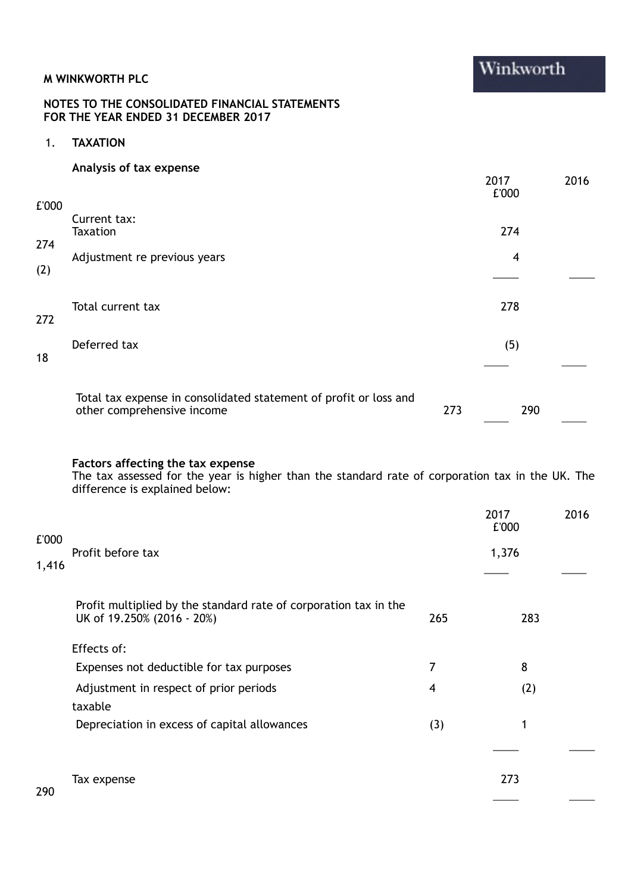## **NOTES TO THE CONSOLIDATED FINANCIAL STATEMENTS FOR THE YEAR ENDED 31 DECEMBER 2017**

1. **TAXATION**

## **Analysis of tax expense**

| £'000      |                                                                                                 |     | 2017<br>£'000 | 2016 |
|------------|-------------------------------------------------------------------------------------------------|-----|---------------|------|
| 274<br>(2) | Current tax:<br><b>Taxation</b><br>Adjustment re previous years                                 |     | 274<br>4      |      |
| 272        | Total current tax                                                                               |     | 278           |      |
| 18         | Deferred tax                                                                                    |     | (5)           |      |
|            | Total tax expense in consolidated statement of profit or loss and<br>other comprehensive income | 273 | 290           |      |

#### **Factors affecting the tax expense**

The tax assessed for the year is higher than the standard rate of corporation tax in the UK. The difference is explained below:

|       |                                                                                                |     | 2017<br>£'000 | 2016 |
|-------|------------------------------------------------------------------------------------------------|-----|---------------|------|
| £'000 | Profit before tax                                                                              |     | 1,376         |      |
| 1,416 |                                                                                                |     |               |      |
|       | Profit multiplied by the standard rate of corporation tax in the<br>UK of 19.250% (2016 - 20%) | 265 | 283           |      |
|       | Effects of:                                                                                    |     |               |      |
|       | Expenses not deductible for tax purposes                                                       | 7   | 8             |      |
|       | Adjustment in respect of prior periods                                                         | 4   | (2)           |      |
|       | taxable                                                                                        |     |               |      |
|       | Depreciation in excess of capital allowances                                                   | (3) | 1             |      |
|       |                                                                                                |     |               |      |
| 290.  | Tax expense                                                                                    |     | 273           |      |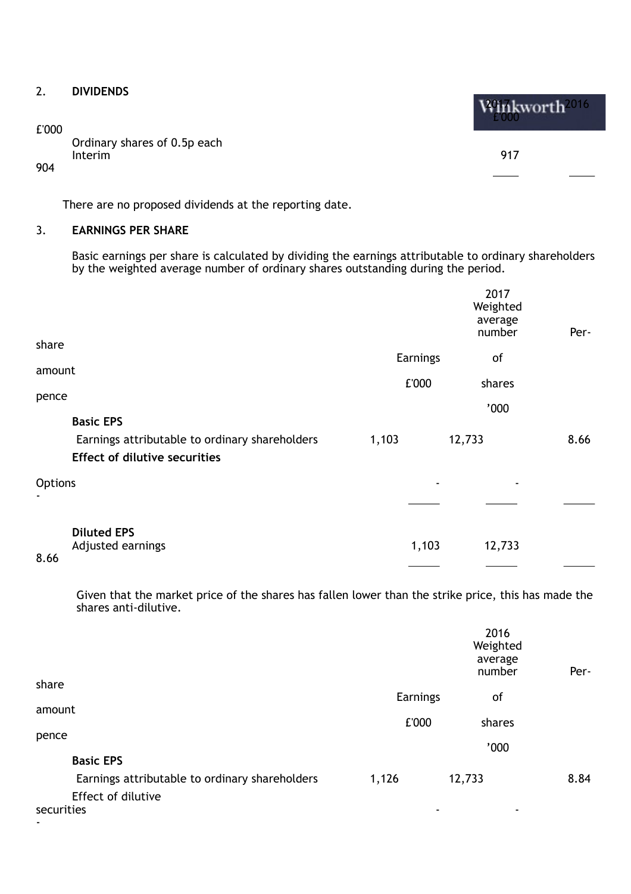## 2. **DIVIDENDS**

£'000

Ordinary shares of 0.5p each Interim 917

904

There are no proposed dividends at the reporting date.

## 3. **EARNINGS PER SHARE**

Basic earnings per share is calculated by dividing the earnings attributable to ordinary shareholders by the weighted average number of ordinary shares outstanding during the period.

|         |                                                                                        |          | 2017<br>Weighted<br>average<br>number | Per- |
|---------|----------------------------------------------------------------------------------------|----------|---------------------------------------|------|
| share   |                                                                                        | Earnings | of                                    |      |
| amount  |                                                                                        | £'000    | shares                                |      |
| pence   |                                                                                        |          | '000                                  |      |
|         | <b>Basic EPS</b>                                                                       |          |                                       |      |
|         | Earnings attributable to ordinary shareholders<br><b>Effect of dilutive securities</b> | 1,103    | 12,733                                | 8.66 |
| Options |                                                                                        |          |                                       |      |
|         |                                                                                        |          |                                       |      |
| 8.66    | <b>Diluted EPS</b><br>Adjusted earnings                                                | 1,103    | 12,733                                |      |

Given that the market price of the shares has fallen lower than the strike price, this has made the shares anti-dilutive.

|                                                |          | 2016<br>Weighted<br>average<br>number | Per- |
|------------------------------------------------|----------|---------------------------------------|------|
| share                                          | Earnings | of                                    |      |
| amount                                         | £'000    | shares                                |      |
| pence                                          |          | '000                                  |      |
| <b>Basic EPS</b>                               |          |                                       |      |
| Earnings attributable to ordinary shareholders | 1,126    | 12,733                                | 8.84 |
| Effect of dilutive                             |          |                                       |      |
| securities                                     |          | ٠                                     |      |
| ٠                                              |          |                                       |      |

Winkworth<sup>2016</sup>  $\sim 1000$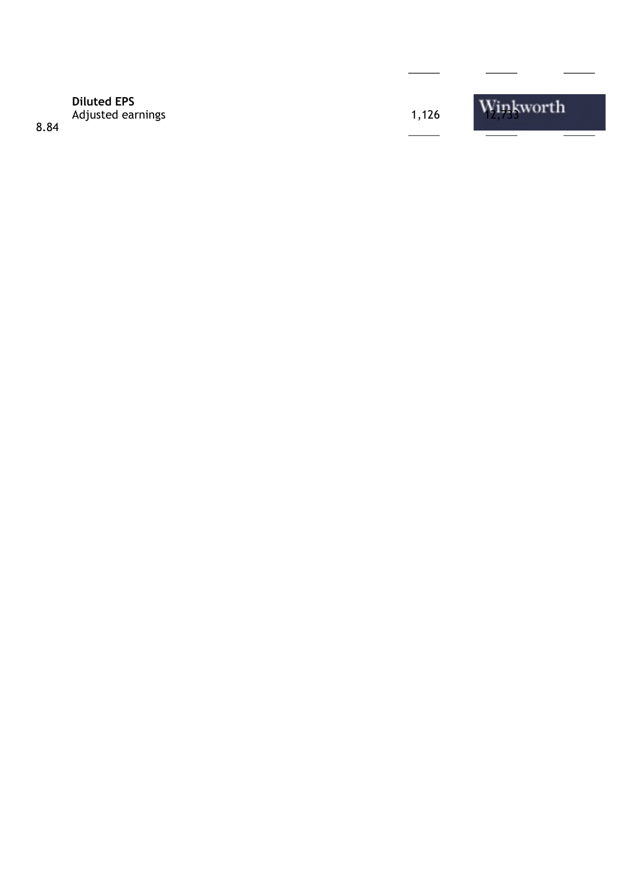## **Diluted EPS** Diluted EPS<br>Adjusted earnings 1,126 1,126 1,126 1,126 1,126 1,126 1,126 1,126 1,126 1,126 1,126 1,126 1,126 1,126 1,126 1,126 1,126 1,126 1,126 1,126 1,126 1,126 1,126 1,126 1,126 1,126 1,126 1,126 1,126 1,126 1,126 1,126

8.84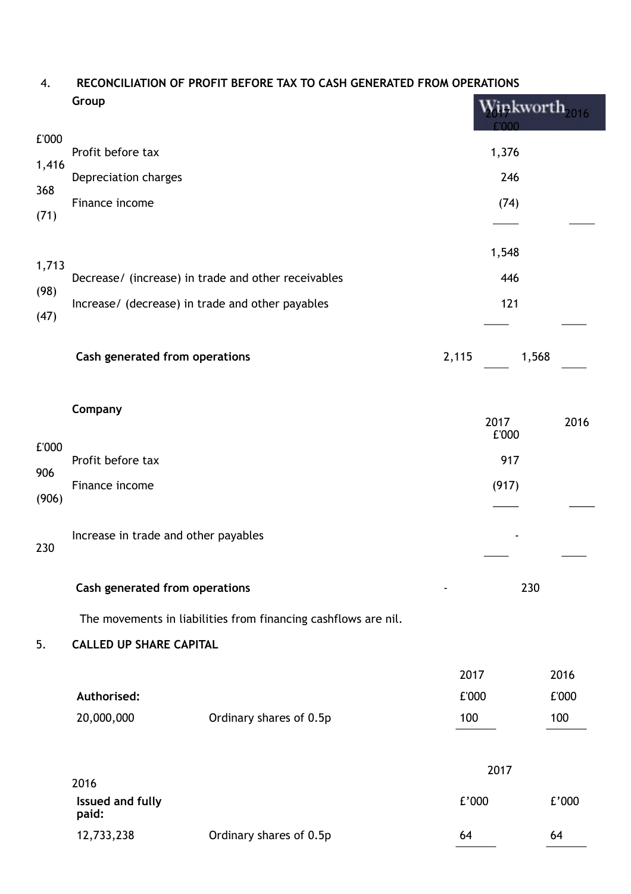#### 4. **RECONCILIATION OF PROFIT BEFORE TAX TO CASH GENERATED FROM OPERATIONS Group**  $\sim$

|              | ui vup                               |                                                                |               |               | inkworth <sub>2016</sub> |
|--------------|--------------------------------------|----------------------------------------------------------------|---------------|---------------|--------------------------|
| £'000        | Profit before tax                    |                                                                |               | 1,376         |                          |
| 1,416        | Depreciation charges                 |                                                                |               | 246           |                          |
| 368<br>(71)  | Finance income                       |                                                                |               | (74)          |                          |
|              |                                      |                                                                |               | 1,548         |                          |
| 1,713        |                                      | Decrease/ (increase) in trade and other receivables            |               | 446           |                          |
| (98)<br>(47) |                                      | Increase/ (decrease) in trade and other payables               |               | 121           |                          |
|              | Cash generated from operations       |                                                                | 2,115         | 1,568         |                          |
|              | Company                              |                                                                |               | 2017<br>£'000 | 2016                     |
| £'000        | Profit before tax                    |                                                                |               | 917           |                          |
| 906          | Finance income                       |                                                                |               | (917)         |                          |
| (906)        |                                      |                                                                |               |               |                          |
| 230          | Increase in trade and other payables |                                                                |               |               |                          |
|              | Cash generated from operations       |                                                                |               | 230           |                          |
|              |                                      | The movements in liabilities from financing cashflows are nil. |               |               |                          |
| 5.           | <b>CALLED UP SHARE CAPITAL</b>       |                                                                |               |               |                          |
|              | Authorised:                          |                                                                | 2017<br>£'000 |               | 2016<br>£'000            |
|              | 20,000,000                           | Ordinary shares of 0.5p                                        | 100           |               | 100                      |
|              | 2016                                 |                                                                |               | 2017          |                          |
|              | <b>Issued and fully</b><br>paid:     |                                                                | E'000         |               | E'000                    |
|              | 12,733,238                           | Ordinary shares of 0.5p                                        | 64            |               | 64                       |